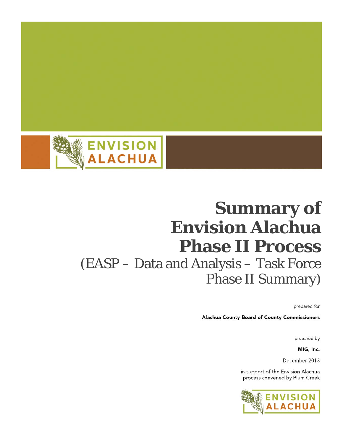

# **Summary of Envision Alachua Phase II Process** (EASP - Data and Analysis - Task Force **Phase II Summary)**

prepared for

Alachua County Board of County Commissioners

prepared by

MIG, Inc.

December 2013

in support of the Envision Alachua process convened by Plum Creek

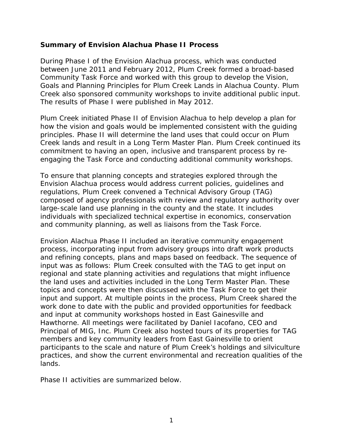#### **Summary of Envision Alachua Phase II Process**

During Phase I of the Envision Alachua process, which was conducted between June 2011 and February 2012, Plum Creek formed a broad-based Community Task Force and worked with this group to develop the *Vision, Goals and Planning Principles for Plum Creek Lands in Alachua County*. Plum Creek also sponsored community workshops to invite additional public input. The results of Phase I were published in May 2012.

Plum Creek initiated Phase II of Envision Alachua to help develop a plan for how the vision and goals would be implemented consistent with the guiding principles. Phase II will determine the land uses that could occur on Plum Creek lands and result in a Long Term Master Plan. Plum Creek continued its commitment to having an open, inclusive and transparent process by reengaging the Task Force and conducting additional community workshops.

To ensure that planning concepts and strategies explored through the Envision Alachua process would address current policies, guidelines and regulations, Plum Creek convened a Technical Advisory Group (TAG) composed of agency professionals with review and regulatory authority over large-scale land use planning in the county and the state. It includes individuals with specialized technical expertise in economics, conservation and community planning, as well as liaisons from the Task Force.

Envision Alachua Phase II included an iterative community engagement process, incorporating input from advisory groups into draft work products and refining concepts, plans and maps based on feedback. The sequence of input was as follows: Plum Creek consulted with the TAG to get input on regional and state planning activities and regulations that might influence the land uses and activities included in the Long Term Master Plan. These topics and concepts were then discussed with the Task Force to get their input and support. At multiple points in the process, Plum Creek shared the work done to date with the public and provided opportunities for feedback and input at community workshops hosted in East Gainesville and Hawthorne. All meetings were facilitated by Daniel Iacofano, CEO and Principal of MIG, Inc. Plum Creek also hosted tours of its properties for TAG members and key community leaders from East Gainesville to orient participants to the scale and nature of Plum Creek's holdings and silviculture practices, and show the current environmental and recreation qualities of the lands.

Phase II activities are summarized below.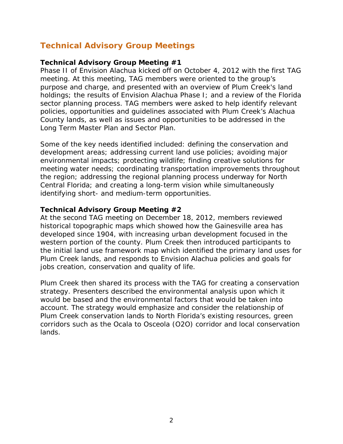# **Technical Advisory Group Meetings**

#### **Technical Advisory Group Meeting #1**

Phase II of Envision Alachua kicked off on October 4, 2012 with the first TAG meeting. At this meeting, TAG members were oriented to the group's purpose and charge, and presented with an overview of Plum Creek's land holdings; the results of Envision Alachua Phase I; and a review of the Florida sector planning process. TAG members were asked to help identify relevant policies, opportunities and guidelines associated with Plum Creek's Alachua County lands, as well as issues and opportunities to be addressed in the Long Term Master Plan and Sector Plan.

Some of the key needs identified included: defining the conservation and development areas; addressing current land use policies; avoiding major environmental impacts; protecting wildlife; finding creative solutions for meeting water needs; coordinating transportation improvements throughout the region; addressing the regional planning process underway for North Central Florida; and creating a long-term vision while simultaneously identifying short- and medium-term opportunities.

#### **Technical Advisory Group Meeting #2**

At the second TAG meeting on December 18, 2012, members reviewed historical topographic maps which showed how the Gainesville area has developed since 1904, with increasing urban development focused in the western portion of the county. Plum Creek then introduced participants to the initial land use framework map which identified the primary land uses for Plum Creek lands, and responds to Envision Alachua policies and goals for jobs creation, conservation and quality of life.

Plum Creek then shared its process with the TAG for creating a conservation strategy. Presenters described the environmental analysis upon which it would be based and the environmental factors that would be taken into account. The strategy would emphasize and consider the relationship of Plum Creek conservation lands to North Florida's existing resources, green corridors such as the Ocala to Osceola (O2O) corridor and local conservation lands.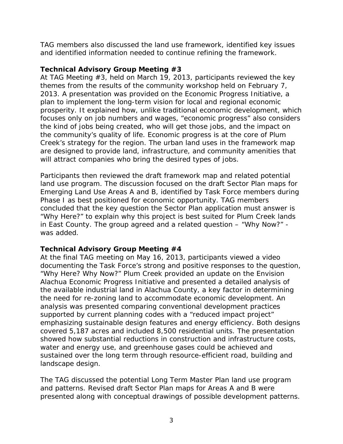TAG members also discussed the land use framework, identified key issues and identified information needed to continue refining the framework.

#### **Technical Advisory Group Meeting #3**

At TAG Meeting #3, held on March 19, 2013, participants reviewed the key themes from the results of the community workshop held on February 7, 2013. A presentation was provided on the Economic Progress Initiative, a plan to implement the long-term vision for local and regional economic prosperity. It explained how, unlike traditional economic development, which focuses only on job numbers and wages, "economic progress" also considers the kind of jobs being created, who will get those jobs, and the impact on the community's quality of life. Economic progress is at the core of Plum Creek's strategy for the region. The urban land uses in the framework map are designed to provide land, infrastructure, and community amenities that will attract companies who bring the desired types of jobs.

Participants then reviewed the draft framework map and related potential land use program. The discussion focused on the draft Sector Plan maps for Emerging Land Use Areas A and B, identified by Task Force members during Phase I as best positioned for economic opportunity. TAG members concluded that the key question the Sector Plan application must answer is "Why Here?" to explain why this project is best suited for Plum Creek lands in East County. The group agreed and a related question – "Why Now?" was added.

# **Technical Advisory Group Meeting #4**

At the final TAG meeting on May 16, 2013, participants viewed a video documenting the Task Force's strong and positive responses to the question, "Why Here? Why Now?" Plum Creek provided an update on the Envision Alachua Economic Progress Initiative and presented a detailed analysis of the available industrial land in Alachua County, a key factor in determining the need for re-zoning land to accommodate economic development. An analysis was presented comparing conventional development practices supported by current planning codes with a "reduced impact project" emphasizing sustainable design features and energy efficiency. Both designs covered 5,187 acres and included 8,500 residential units. The presentation showed how substantial reductions in construction and infrastructure costs, water and energy use, and greenhouse gases could be achieved and sustained over the long term through resource-efficient road, building and landscape design.

The TAG discussed the potential Long Term Master Plan land use program and patterns. Revised draft Sector Plan maps for Areas A and B were presented along with conceptual drawings of possible development patterns.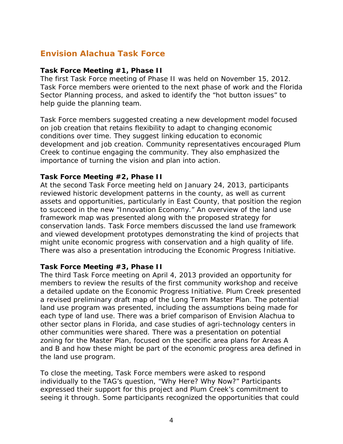# **Envision Alachua Task Force**

#### **Task Force Meeting #1, Phase II**

The first Task Force meeting of Phase II was held on November 15, 2012. Task Force members were oriented to the next phase of work and the Florida Sector Planning process, and asked to identify the "hot button issues" to help guide the planning team.

Task Force members suggested creating a new development model focused on job creation that retains flexibility to adapt to changing economic conditions over time. They suggest linking education to economic development and job creation. Community representatives encouraged Plum Creek to continue engaging the community. They also emphasized the importance of turning the vision and plan into action.

#### **Task Force Meeting #2, Phase II**

At the second Task Force meeting held on January 24, 2013, participants reviewed historic development patterns in the county, as well as current assets and opportunities, particularly in East County, that position the region to succeed in the new "Innovation Economy." An overview of the land use framework map was presented along with the proposed strategy for conservation lands. Task Force members discussed the land use framework and viewed development prototypes demonstrating the kind of projects that might unite economic progress with conservation and a high quality of life. There was also a presentation introducing the Economic Progress Initiative.

#### **Task Force Meeting #3, Phase II**

The third Task Force meeting on April 4, 2013 provided an opportunity for members to review the results of the first community workshop and receive a detailed update on the Economic Progress Initiative. Plum Creek presented a revised preliminary draft map of the Long Term Master Plan. The potential land use program was presented, including the assumptions being made for each type of land use. There was a brief comparison of Envision Alachua to other sector plans in Florida, and case studies of agri-technology centers in other communities were shared. There was a presentation on potential zoning for the Master Plan, focused on the specific area plans for Areas A and B and how these might be part of the economic progress area defined in the land use program.

To close the meeting, Task Force members were asked to respond individually to the TAG's question, "Why Here? Why Now?" Participants expressed their support for this project and Plum Creek's commitment to seeing it through. Some participants recognized the opportunities that could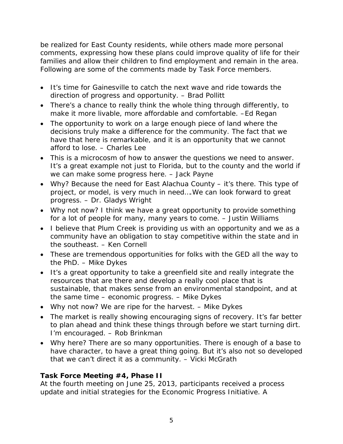be realized for East County residents, while others made more personal comments, expressing how these plans could improve quality of life for their families and allow their children to find employment and remain in the area. Following are some of the comments made by Task Force members.

- It's time for Gainesville to catch the next wave and ride towards the direction of progress and opportunity. – Brad Pollitt
- There's a chance to really think the whole thing through differently, to make it more livable, more affordable and comfortable. –Ed Regan
- The opportunity to work on a large enough piece of land where the decisions truly make a difference for the community. The fact that we have that here is remarkable, and it is an opportunity that we cannot afford to lose. – Charles Lee
- This is a microcosm of how to answer the questions we need to answer. It's a great example not just to Florida, but to the county and the world if we can make some progress here. – Jack Payne
- Why? Because the need for East Alachua County it's there. This type of project, or model, is very much in need....We can look forward to great progress. – Dr. Gladys Wright
- Why not now? I think we have a great opportunity to provide something for a lot of people for many, many years to come. – Justin Williams
- I believe that Plum Creek is providing us with an opportunity and we as a community have an obligation to stay competitive within the state and in the southeast. – Ken Cornell
- These are tremendous opportunities for folks with the GED all the way to the PhD. – Mike Dykes
- It's a great opportunity to take a greenfield site and really integrate the resources that are there and develop a really cool place that is sustainable, that makes sense from an environmental standpoint, and at the same time – economic progress. – Mike Dykes
- Why not now? We are ripe for the harvest. Mike Dykes
- The market is really showing encouraging signs of recovery. It's far better to plan ahead and think these things through before we start turning dirt. I'm encouraged. – Rob Brinkman
- Why here? There are so many opportunities. There is enough of a base to have character, to have a great thing going. But it's also not so developed that we can't direct it as a community. – Vicki McGrath

# **Task Force Meeting #4, Phase II**

At the fourth meeting on June 25, 2013, participants received a process update and initial strategies for the Economic Progress Initiative. A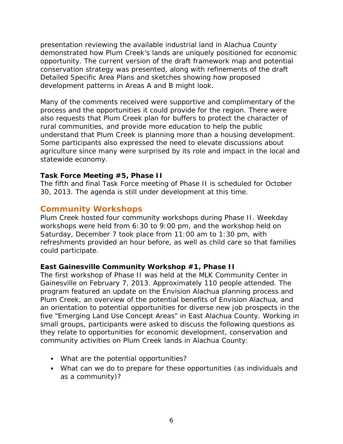presentation reviewing the available industrial land in Alachua County demonstrated how Plum Creek's lands are uniquely positioned for economic opportunity. The current version of the draft framework map and potential conservation strategy was presented, along with refinements of the draft Detailed Specific Area Plans and sketches showing how proposed development patterns in Areas A and B might look.

Many of the comments received were supportive and complimentary of the process and the opportunities it could provide for the region. There were also requests that Plum Creek plan for buffers to protect the character of rural communities, and provide more education to help the public understand that Plum Creek is planning more than a housing development. Some participants also expressed the need to elevate discussions about agriculture since many were surprised by its role and impact in the local and statewide economy.

#### **Task Force Meeting #5, Phase II**

The fifth and final Task Force meeting of Phase II is scheduled for October 30, 2013. The agenda is still under development at this time.

# **Community Workshops**

Plum Creek hosted four community workshops during Phase II. Weekday workshops were held from 6:30 to 9:00 pm, and the workshop held on Saturday, December 7 took place from 11:00 am to 1:30 pm, with refreshments provided an hour before, as well as child care so that families could participate.

#### **East Gainesville Community Workshop #1, Phase II**

The first workshop of Phase II was held at the MLK Community Center in Gainesville on February 7, 2013. Approximately 110 people attended. The program featured an update on the Envision Alachua planning process and Plum Creek, an overview of the potential benefits of Envision Alachua, and an orientation to potential opportunities for diverse new job prospects in the five "Emerging Land Use Concept Areas" in East Alachua County. Working in small groups, participants were asked to discuss the following questions as they relate to opportunities for economic development, conservation and community activities on Plum Creek lands in Alachua County:

- What are the potential opportunities?
- What can we do to prepare for these opportunities (as individuals and as a community)?